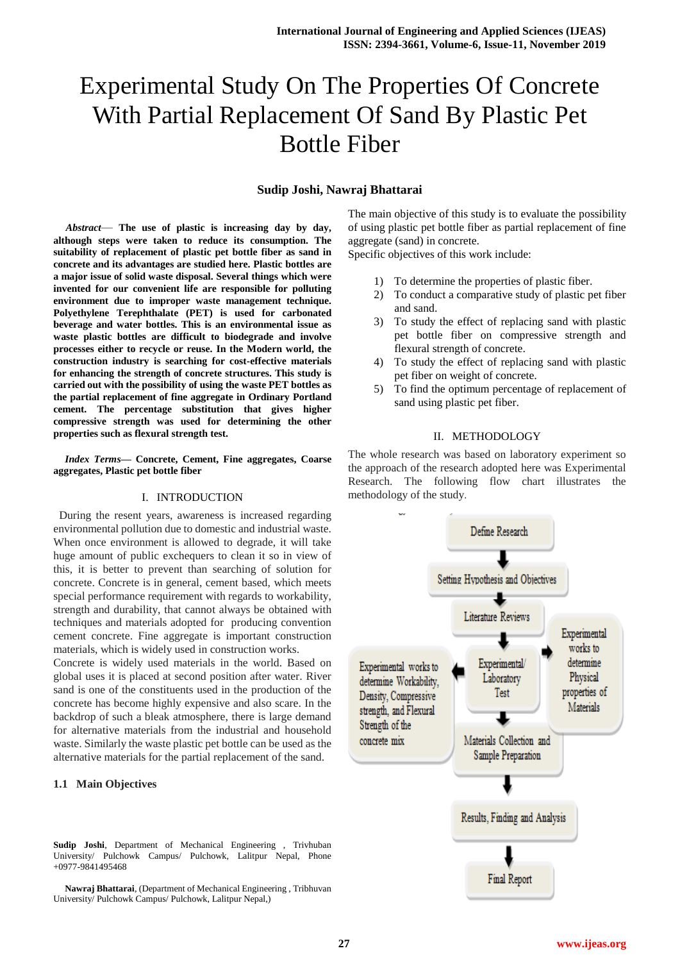# Experimental Study On The Properties Of Concrete With Partial Replacement Of Sand By Plastic Pet Bottle Fiber

## **Sudip Joshi, Nawraj Bhattarai**

*Abstract*— **The use of plastic is increasing day by day, although steps were taken to reduce its consumption. The suitability of replacement of plastic pet bottle fiber as sand in concrete and its advantages are studied here. Plastic bottles are a major issue of solid waste disposal. Several things which were invented for our convenient life are responsible for polluting environment due to improper waste management technique. Polyethylene Terephthalate (PET) is used for carbonated beverage and water bottles. This is an environmental issue as waste plastic bottles are difficult to biodegrade and involve processes either to recycle or reuse. In the Modern world, the construction industry is searching for cost-effective materials for enhancing the strength of concrete structures. This study is carried out with the possibility of using the waste PET bottles as the partial replacement of fine aggregate in Ordinary Portland cement. The percentage substitution that gives higher compressive strength was used for determining the other properties such as flexural strength test.** 

*Index Terms***— Concrete, Cement, Fine aggregates, Coarse aggregates, Plastic pet bottle fiber**

#### I. INTRODUCTION

 During the resent years, awareness is increased regarding environmental pollution due to domestic and industrial waste. When once environment is allowed to degrade, it will take huge amount of public exchequers to clean it so in view of this, it is better to prevent than searching of solution for concrete. Concrete is in general, cement based, which meets special performance requirement with regards to workability, strength and durability, that cannot always be obtained with techniques and materials adopted for producing convention cement concrete. Fine aggregate is important construction materials, which is widely used in construction works.

Concrete is widely used materials in the world. Based on global uses it is placed at second position after water. River sand is one of the constituents used in the production of the concrete has become highly expensive and also scare. In the backdrop of such a bleak atmosphere, there is large demand for alternative materials from the industrial and household waste. Similarly the waste plastic pet bottle can be used as the alternative materials for the partial replacement of the sand.

#### **1.1 Main Objectives**

**Sudip Joshi**, Department of Mechanical Engineering , Trivhuban University/ Pulchowk Campus/ Pulchowk, Lalitpur Nepal, Phone +0977-9841495468

**Nawraj Bhattarai**, (Department of Mechanical Engineering , Tribhuvan University/ Pulchowk Campus/ Pulchowk, Lalitpur Nepal,)

The main objective of this study is to evaluate the possibility of using plastic pet bottle fiber as partial replacement of fine aggregate (sand) in concrete.

Specific objectives of this work include:

- 1) To determine the properties of plastic fiber.
- 2) To conduct a comparative study of plastic pet fiber and sand.
- 3) To study the effect of replacing sand with plastic pet bottle fiber on compressive strength and flexural strength of concrete.
- 4) To study the effect of replacing sand with plastic pet fiber on weight of concrete.
- 5) To find the optimum percentage of replacement of sand using plastic pet fiber.

#### II. METHODOLOGY

The whole research was based on laboratory experiment so the approach of the research adopted here was Experimental Research. The following flow chart illustrates the methodology of the study.

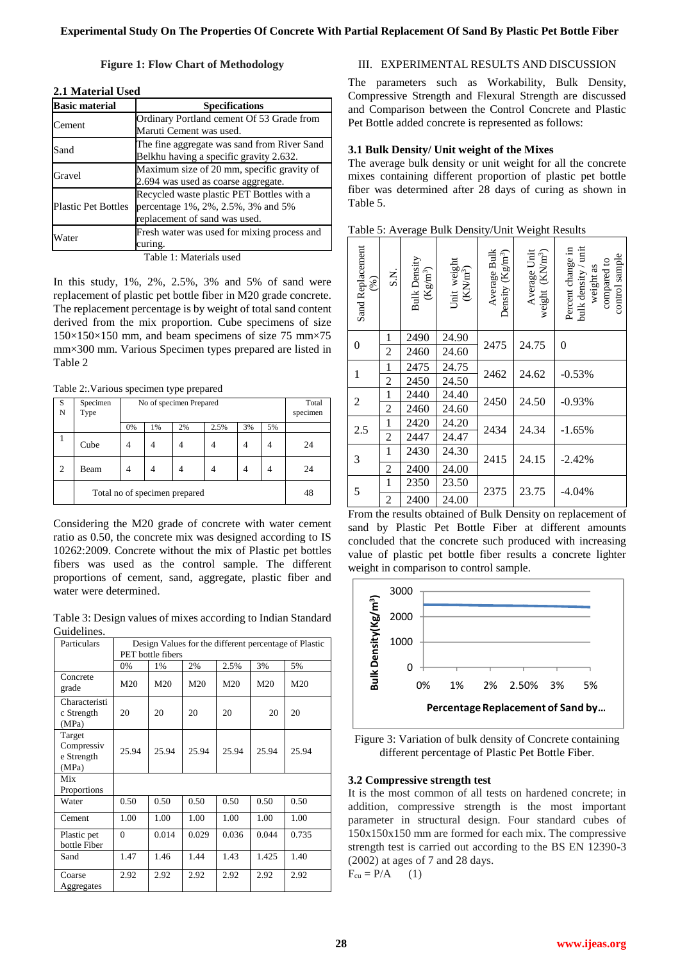**Figure 1: Flow Chart of Methodology**

| <b>Basic material</b>      | <b>Specifications</b>                                                                                            |
|----------------------------|------------------------------------------------------------------------------------------------------------------|
| Cement                     | Ordinary Portland cement Of 53 Grade from<br>Maruti Cement was used.                                             |
| Sand                       | The fine aggregate was sand from River Sand<br>Belkhu having a specific gravity 2.632.                           |
| Gravel                     | Maximum size of 20 mm, specific gravity of<br>2.694 was used as coarse aggregate.                                |
| <b>Plastic Pet Bottles</b> | Recycled waste plastic PET Bottles with a<br>percentage 1%, 2%, 2.5%, 3% and 5%<br>replacement of sand was used. |
| Water                      | Fresh water was used for mixing process and<br>curing.                                                           |

### **2.1 Material Used**

Table 1: Materials use

In this study, 1%, 2%, 2.5%, 3% and 5% of sand were replacement of plastic pet bottle fiber in M20 grade concrete. The replacement percentage is by weight of total sand content derived from the mix proportion. Cube specimens of size  $150\times150\times150$  mm, and beam specimens of size 75 mm $\times75$ mm×300 mm. Various Specimen types prepared are listed in Table 2

Table 2:.Various specimen type prepared

| S<br>N         | Specimen<br>Type              | No of specimen Prepared |    |    |      |    | Total<br>specimen |    |
|----------------|-------------------------------|-------------------------|----|----|------|----|-------------------|----|
|                |                               | 0%                      | 1% | 2% | 2.5% | 3% | 5%                |    |
|                | Cube                          | 4                       |    |    |      |    |                   | 24 |
| $\overline{c}$ | Beam                          | 4                       |    |    |      |    |                   | 24 |
|                | Total no of specimen prepared |                         |    |    |      |    | 48                |    |

Considering the M20 grade of concrete with water cement ratio as 0.50, the concrete mix was designed according to IS 10262:2009. Concrete without the mix of Plastic pet bottles fibers was used as the control sample. The different proportions of cement, sand, aggregate, plastic fiber and water were determined.

Table 3: Design values of mixes according to Indian Standard Guidelines.

| Particulars                                 | Design Values for the different percentage of Plastic |                   |       |                 |       |       |  |
|---------------------------------------------|-------------------------------------------------------|-------------------|-------|-----------------|-------|-------|--|
|                                             |                                                       | PET bottle fibers |       |                 |       |       |  |
|                                             | 0%                                                    | 1%                | 2%    | 2.5%            | 3%    | 5%    |  |
| Concrete<br>grade                           | M20                                                   | M20               | M20   | M <sub>20</sub> | M20   | M20   |  |
| Characteristi<br>c Strength<br>(MPa)        | 20                                                    | 20                | 20    | 20              | 20    | 20    |  |
| Target<br>Compressiv<br>e Strength<br>(MPa) | 25.94                                                 | 25.94             | 25.94 | 25.94           | 25.94 | 25.94 |  |
| Mix<br>Proportions                          |                                                       |                   |       |                 |       |       |  |
| Water                                       | 0.50                                                  | 0.50              | 0.50  | 0.50            | 0.50  | 0.50  |  |
| Cement                                      | 1.00                                                  | 1.00              | 1.00  | 1.00            | 1.00  | 1.00  |  |
| Plastic pet<br>bottle Fiber                 | $\Omega$                                              | 0.014             | 0.029 | 0.036           | 0.044 | 0.735 |  |
| Sand                                        | 1.47                                                  | 1.46              | 1.44  | 1.43            | 1.425 | 1.40  |  |
| Coarse<br>Aggregates                        | 2.92                                                  | 2.92              | 2.92  | 2.92            | 2.92  | 2.92  |  |

# III. EXPERIMENTAL RESULTS AND DISCUSSION

The parameters such as Workability, Bulk Density, Compressive Strength and Flexural Strength are discussed and Comparison between the Control Concrete and Plastic Pet Bottle added concrete is represented as follows:

#### **3.1 Bulk Density/ Unit weight of the Mixes**

The average bulk density or unit weight for all the concrete mixes containing different proportion of plastic pet bottle fiber was determined after 28 days of curing as shown in Table 5.

| Table 5: Average Bulk Density/Unit Weight Results |  |  |  |
|---------------------------------------------------|--|--|--|
|                                                   |  |  |  |

| Sand Replacement<br>(%) | S.N.           | <b>Bulk Density</b><br>$(\mathrm{Kg}/\mathrm{m}^3)$ | Unit weight $(KN/m^3)$ | Average Bulk<br>Density $(Kg/m^3)$ | Average Unit<br>weight (KN/m <sup>3</sup> ) | bulk density / unit<br>Percent change in<br>control sample<br>compared to<br>weight as |  |
|-------------------------|----------------|-----------------------------------------------------|------------------------|------------------------------------|---------------------------------------------|----------------------------------------------------------------------------------------|--|
| $\boldsymbol{0}$        | 1              | 2490                                                | 24.90                  | 2475                               | 24.75                                       | 0                                                                                      |  |
|                         | $\overline{c}$ | 2460                                                | 24.60                  |                                    |                                             |                                                                                        |  |
| $\mathbf{1}$            | 1              | 2475                                                | 24.75                  | 2462                               | 24.62                                       | $-0.53%$                                                                               |  |
|                         | $\overline{c}$ | 2450                                                | 24.50                  |                                    |                                             |                                                                                        |  |
| $\overline{2}$          | $\mathbf{1}$   | 2440                                                | 24.40                  | 2450                               | 24.50                                       | $-0.93%$                                                                               |  |
|                         | $\overline{c}$ | 2460                                                | 24.60                  |                                    |                                             |                                                                                        |  |
| 2.5                     | $\mathbf{1}$   | 2420                                                | 24.20                  | 2434                               |                                             |                                                                                        |  |
|                         | $\overline{c}$ | 2447                                                | 24.47                  |                                    | 24.34                                       | $-1.65%$                                                                               |  |
| 3                       | $\mathbf{1}$   | 2430                                                | 24.30                  | 2415                               | 24.15                                       | $-2.42%$                                                                               |  |
|                         | $\overline{c}$ | 2400                                                | 24.00                  |                                    |                                             |                                                                                        |  |
| 5                       | 1              | 2350                                                | 23.50                  | 2375                               | 23.75                                       | $-4.04%$                                                                               |  |
|                         | 2              | 2400                                                | 24.00                  |                                    |                                             |                                                                                        |  |

From the results obtained of Bulk Density on replacement of sand by Plastic Pet Bottle Fiber at different amounts concluded that the concrete such produced with increasing value of plastic pet bottle fiber results a concrete lighter weight in comparison to control sample.



Figure 3: Variation of bulk density of Concrete containing different percentage of Plastic Pet Bottle Fiber.

#### **3.2 Compressive strength test**

It is the most common of all tests on hardened concrete; in addition, compressive strength is the most important parameter in structural design. Four standard cubes of 150x150x150 mm are formed for each mix. The compressive strength test is carried out according to the BS EN 12390-3 (2002) at ages of 7 and 28 days.  $F_{cu} = P/A$  (1)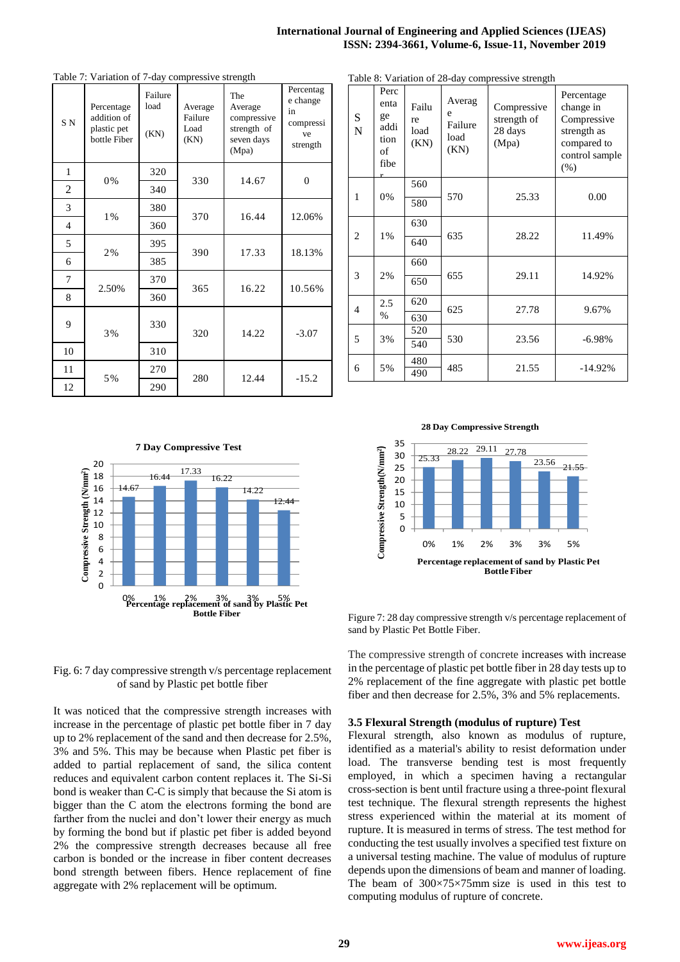#### **International Journal of Engineering and Applied Sciences (IJEAS) ISSN: 2394-3661, Volume-6, Issue-11, November 2019**

| S <sub>N</sub>           | Percentage<br>addition of<br>plastic pet<br>bottle Fiber | Failure<br>load<br>(KN) | Average<br>Failure<br>Load<br>(KN) | The<br>Average<br>compressive<br>strength of<br>seven days<br>(Mpa) | т степлад<br>e change<br>in<br>compressi<br>ve<br>strength |  |
|--------------------------|----------------------------------------------------------|-------------------------|------------------------------------|---------------------------------------------------------------------|------------------------------------------------------------|--|
| $\mathbf{1}$             | 0%                                                       | 320                     | 330                                |                                                                     | $\mathbf{0}$                                               |  |
| 2                        |                                                          | 340                     |                                    | 14.67                                                               |                                                            |  |
| 3                        | 1%                                                       | 380<br>370              |                                    | 16.44                                                               | 12.06%                                                     |  |
| $\overline{\mathcal{L}}$ |                                                          | 360                     |                                    |                                                                     |                                                            |  |
| 5                        | 2%                                                       | 395                     | 390                                | 17.33                                                               | 18.13%                                                     |  |
| 6                        |                                                          | 385                     |                                    |                                                                     |                                                            |  |
| 7                        | 2.50%                                                    | 370                     | 365                                | 16.22                                                               | 10.56%                                                     |  |
| 8                        |                                                          | 360                     |                                    |                                                                     |                                                            |  |
| 9                        | 3%                                                       | 330                     | 320                                | 14.22                                                               | $-3.07$                                                    |  |
| 10                       |                                                          | 310                     |                                    |                                                                     |                                                            |  |
| 11                       | 5%                                                       | 270                     | 280                                | 12.44                                                               | $-15.2$                                                    |  |
| 12                       |                                                          | 290                     |                                    |                                                                     |                                                            |  |

 $P_{\text{concentration}}$ 

Table 7: Variation of 7-day compressive strength

Table 8: Variation of 28-day compressive strength

|                |                                                       |                             |                                        | radic o. $\alpha$ analion or $2\sigma$ -day compressive suchgui |                                                                                                |
|----------------|-------------------------------------------------------|-----------------------------|----------------------------------------|-----------------------------------------------------------------|------------------------------------------------------------------------------------------------|
| S<br>N         | Perc<br>enta<br>ge<br>addi<br>tion<br>of<br>fibe<br>r | Failu<br>re<br>load<br>(KN) | Averag<br>e<br>Failure<br>load<br>(KN) | Compressive<br>strength of<br>28 days<br>(Mpa)                  | Percentage<br>change in<br>Compressive<br>strength as<br>compared to<br>control sample<br>(% ) |
| 1              | 0%                                                    | 560<br>580                  | 570                                    | 25.33                                                           | 0.00                                                                                           |
| $\overline{c}$ | $1\%$                                                 | 630<br>640                  | 635                                    | 28.22                                                           | 11.49%                                                                                         |
| 3              | 2%                                                    | 660<br>650                  | 655                                    | 29.11                                                           | 14.92%                                                                                         |
| $\overline{4}$ | 2.5<br>$\%$                                           | 620<br>630                  | 625                                    | 27.78                                                           | 9.67%                                                                                          |
| 5              | 3%                                                    | 520<br>540                  | 530                                    | 23.56                                                           | $-6.98%$                                                                                       |
| 6              | 5%                                                    | 480<br>490                  | 485                                    | 21.55                                                           | $-14.92%$                                                                                      |

**7 Day Compressive Test**



**28 Day Compressive Strength**



Fig. 6: 7 day compressive strength v/s percentage replacement of sand by Plastic pet bottle fiber

It was noticed that the compressive strength increases with increase in the percentage of plastic pet bottle fiber in 7 day up to 2% replacement of the sand and then decrease for 2.5%, 3% and 5%. This may be because when Plastic pet fiber is added to partial replacement of sand, the silica content reduces and equivalent carbon content replaces it. The Si-Si bond is weaker than C-C is simply that because the Si atom is bigger than the C atom the electrons forming the bond are farther from the nuclei and don't lower their energy as much by forming the bond but if plastic pet fiber is added beyond 2% the compressive strength decreases because all free carbon is bonded or the increase in fiber content decreases bond strength between fibers. Hence replacement of fine aggregate with 2% replacement will be optimum.

Figure 7: 28 day compressive strength v/s percentage replacement of sand by Plastic Pet Bottle Fiber.

The compressive strength of concrete increases with increase in the percentage of plastic pet bottle fiber in 28 day tests up to 2% replacement of the fine aggregate with plastic pet bottle fiber and then decrease for 2.5%, 3% and 5% replacements.

#### **3.5 Flexural Strength (modulus of rupture) Test**

Flexural strength, also known as modulus of rupture, identified as a material's ability to resist deformation under load. The transverse bending test is most frequently employed, in which a specimen having a rectangular cross-section is bent until fracture using a three-point flexural test technique. The flexural strength represents the highest stress experienced within the material at its moment of rupture. It is measured in terms of stress. The test method for conducting the test usually involves a specified test fixture on a universal testing machine. The value of modulus of rupture depends upon the dimensions of beam and manner of loading. The beam of  $300\times75\times75$  mm size is used in this test to computing modulus of rupture of concrete.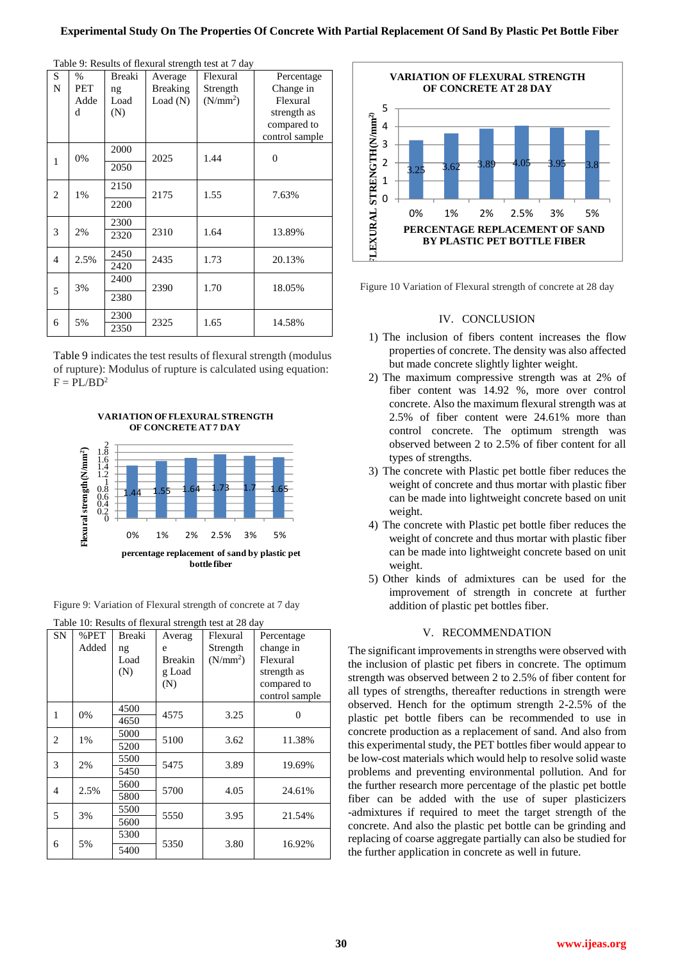| S              | $\%$ | Breaki | Average         | $\ldots$<br>Flexural | Percentage     |
|----------------|------|--------|-----------------|----------------------|----------------|
| N              | PET  | ng     | <b>Breaking</b> | Strength             | Change in      |
|                | Adde | Load   | Load(N)         | (N/mm <sup>2</sup> ) | Flexural       |
|                | d    | (N)    |                 |                      | strength as    |
|                |      |        |                 |                      | compared to    |
|                |      |        |                 |                      | control sample |
|                |      | 2000   |                 |                      |                |
| 1              | 0%   | 2050   | 2025            | 1.44                 | $\overline{0}$ |
|                |      |        |                 |                      |                |
| $\overline{2}$ | 1%   | 2150   | 2175            | 1.55                 | 7.63%          |
|                |      | 2200   |                 |                      |                |
|                |      |        |                 |                      |                |
| 3              | 2%   | 2300   | 2310            | 1.64                 | 13.89%         |
|                |      | 2320   |                 |                      |                |
| $\overline{4}$ | 2.5% | 2450   | 2435            | 1.73                 | 20.13%         |
|                |      | 2420   |                 |                      |                |
|                |      | 2400   |                 |                      |                |
| 5              | 3%   | 2380   | 2390            | 1.70                 | 18.05%         |
|                |      |        |                 |                      |                |
| 6              | 5%   | 2300   | 2325            | 1.65                 | 14.58%         |
|                |      | 2350   |                 |                      |                |

Table 9: Results of flexural strength test at 7 day

Table 9 indicates the test results of flexural strength (modulus of rupture): Modulus of rupture is calculated using equation:  $F = PL/BD^2$ 



**VARIATION OF FLEXURAL STRENGTH OF CONCRETE AT 7 DAY**

Figure 9: Variation of Flexural strength of concrete at 7 day

|                | Table 10: Results of flexural strength test at 28 day |        |                |            |                |  |  |  |
|----------------|-------------------------------------------------------|--------|----------------|------------|----------------|--|--|--|
| <b>SN</b>      | %PET                                                  | Breaki | Averag         | Flexural   | Percentage     |  |  |  |
|                | Added                                                 | ng     | e              | Strength   | change in      |  |  |  |
|                |                                                       | Load   | <b>Breakin</b> | $(N/mm^2)$ | Flexural       |  |  |  |
|                |                                                       | (N)    | g Load         |            | strength as    |  |  |  |
|                |                                                       |        | (N)            |            | compared to    |  |  |  |
|                |                                                       |        |                |            | control sample |  |  |  |
| 1              | 0%                                                    | 4500   | 4575           | 3.25       | 0              |  |  |  |
|                |                                                       | 4650   |                |            |                |  |  |  |
| 2              | $1\%$                                                 | 5000   | 5100           | 3.62       | 11.38%         |  |  |  |
|                |                                                       | 5200   |                |            |                |  |  |  |
| 3              | 2%                                                    | 5500   | 5475           | 3.89       | 19.69%         |  |  |  |
|                |                                                       | 5450   |                |            |                |  |  |  |
| $\overline{4}$ | 2.5%                                                  | 5600   |                | 4.05       | 24.61%         |  |  |  |
|                |                                                       | 5800   | 5700           |            |                |  |  |  |
| 5              | 3%                                                    | 5500   | 5550           | 3.95       | 21.54%         |  |  |  |
|                |                                                       | 5600   |                |            |                |  |  |  |
|                |                                                       | 5300   |                |            |                |  |  |  |
| 6              | 5%                                                    | 5400   | 5350           | 3.80       | 16.92%         |  |  |  |
|                |                                                       |        |                |            |                |  |  |  |



Figure 10 Variation of Flexural strength of concrete at 28 day

#### IV. CONCLUSION

- 1) The inclusion of fibers content increases the flow properties of concrete. The density was also affected but made concrete slightly lighter weight.
- 2) The maximum compressive strength was at 2% of fiber content was 14.92 %, more over control concrete. Also the maximum flexural strength was at 2.5% of fiber content were 24.61% more than control concrete. The optimum strength was observed between 2 to 2.5% of fiber content for all types of strengths.
- 3) The concrete with Plastic pet bottle fiber reduces the weight of concrete and thus mortar with plastic fiber can be made into lightweight concrete based on unit weight.
- 4) The concrete with Plastic pet bottle fiber reduces the weight of concrete and thus mortar with plastic fiber can be made into lightweight concrete based on unit weight.
- 5) Other kinds of admixtures can be used for the improvement of strength in concrete at further addition of plastic pet bottles fiber.

## V. RECOMMENDATION

The significant improvements in strengths were observed with the inclusion of plastic pet fibers in concrete. The optimum strength was observed between 2 to 2.5% of fiber content for all types of strengths, thereafter reductions in strength were observed. Hench for the optimum strength 2-2.5% of the plastic pet bottle fibers can be recommended to use in concrete production as a replacement of sand. And also from this experimental study, the PET bottles fiber would appear to be low-cost materials which would help to resolve solid waste problems and preventing environmental pollution. And for the further research more percentage of the plastic pet bottle fiber can be added with the use of super plasticizers -admixtures if required to meet the target strength of the concrete. And also the plastic pet bottle can be grinding and replacing of coarse aggregate partially can also be studied for the further application in concrete as well in future.